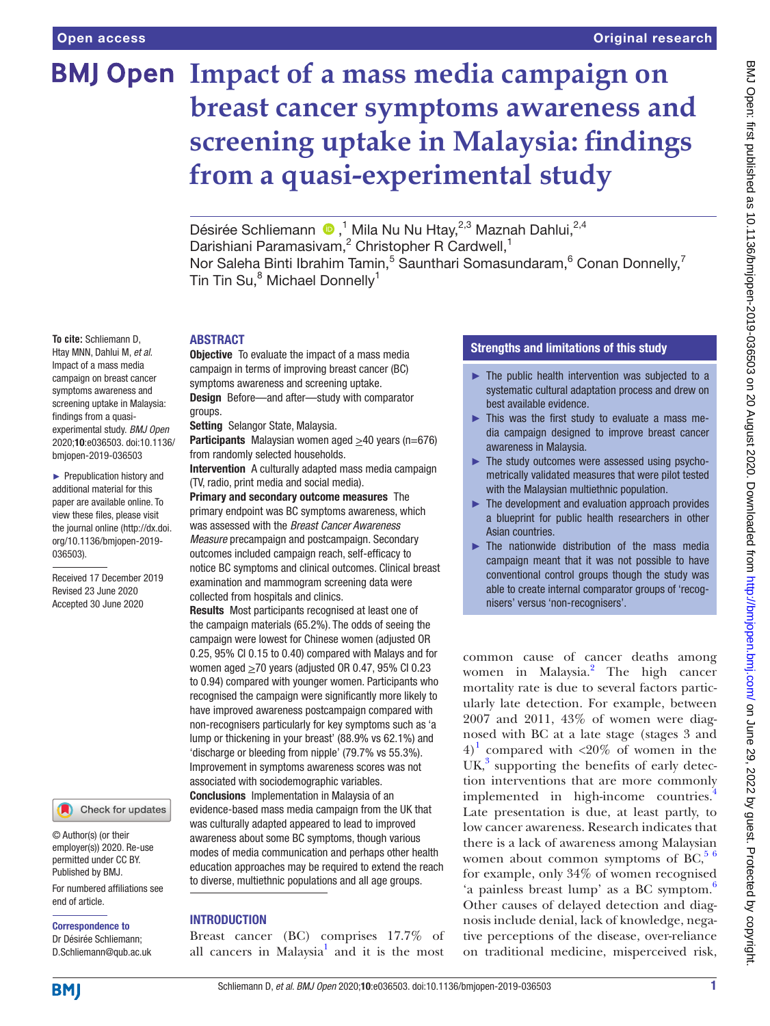**To cite:** Schliemann D, Htay MNN, Dahlui M, *et al*. Impact of a mass media campaign on breast cancer symptoms awareness and screening uptake in Malaysia: findings from a quasiexperimental study. *BMJ Open* 2020;10:e036503. doi:10.1136/ bmjopen-2019-036503 ► Prepublication history and additional material for this paper are available online. To view these files, please visit the journal online (http://dx.doi. org/10.1136/bmjopen-2019-

036503).

Received 17 December 2019 Revised 23 June 2020 Accepted 30 June 2020

# **BMJ Open Impact of a mass media campaign on breast cancer symptoms awareness and screening uptake in Malaysia: findings from a quasi-experimental study**

DésiréeSchliemann <sup>®</sup>,<sup>1</sup> Mila Nu Nu Htay,<sup>2,3</sup> Maznah Dahlui,<sup>2,4</sup> Darishiani Paramasivam,<sup>2</sup> Christopher R Cardwell,<sup>1</sup> Nor Saleha Binti Ibrahim Tamin,<sup>5</sup> Saunthari Somasundaram,<sup>6</sup> Conan Donnelly,<sup>7</sup> Tin Tin Su,<sup>8</sup> Michael Donnelly<sup>1</sup>

#### ABSTRACT

**Objective** To evaluate the impact of a mass media campaign in terms of improving breast cancer (BC) symptoms awareness and screening uptake. Design Before—and after—study with comparator groups.

Setting Selangor State, Malaysia.

**Participants** Malaysian women aged  $\geq 40$  years (n=676) from randomly selected households.

Intervention A culturally adapted mass media campaign (TV, radio, print media and social media).

Primary and secondary outcome measures The primary endpoint was BC symptoms awareness, which was assessed with the *Breast Cancer Awareness Measure* precampaign and postcampaign. Secondary outcomes included campaign reach, self-efficacy to notice BC symptoms and clinical outcomes. Clinical breast examination and mammogram screening data were collected from hospitals and clinics.

Results Most participants recognised at least one of the campaign materials (65.2%). The odds of seeing the campaign were lowest for Chinese women (adjusted OR 0.25, 95% CI 0.15 to 0.40) compared with Malays and for women aged  $\geq$ 70 years (adjusted OR 0.47, 95% CI 0.23 to 0.94) compared with younger women. Participants who recognised the campaign were significantly more likely to have improved awareness postcampaign compared with non-recognisers particularly for key symptoms such as 'a lump or thickening in your breast' (88.9% vs 62.1%) and 'discharge or bleeding from nipple' (79.7% vs 55.3%). Improvement in symptoms awareness scores was not associated with sociodemographic variables. Conclusions Implementation in Malaysia of an evidence-based mass media campaign from the UK that was culturally adapted appeared to lead to improved awareness about some BC symptoms, though various modes of media communication and perhaps other health education approaches may be required to extend the reach to diverse, multiethnic populations and all age groups.

#### INTRODUCTION

Breast cancer (BC) comprises 17.7% of all cancers in Malaysia<sup>1</sup> and it is the most

#### Strengths and limitations of this study

- $\blacktriangleright$  The public health intervention was subjected to a systematic cultural adaptation process and drew on best available evidence.
- $\blacktriangleright$  This was the first study to evaluate a mass media campaign designed to improve breast cancer awareness in Malaysia.
- ► The study outcomes were assessed using psychometrically validated measures that were pilot tested with the Malaysian multiethnic population.
- $\blacktriangleright$  The development and evaluation approach provides a blueprint for public health researchers in other Asian countries.
- ► The nationwide distribution of the mass media campaign meant that it was not possible to have conventional control groups though the study was able to create internal comparator groups of 'recognisers' versus 'non-recognisers'.

common cause of cancer deaths among women in Malaysia.<sup>[2](#page-9-1)</sup> The high cancer mortality rate is due to several factors particularly late detection. For example, between 2007 and 2011, 43% of women were diagnosed with BC at a late stage (stages 3 and  $(4)^1$  $(4)^1$  compared with <20% of women in the  $UK<sup>3</sup>$  $UK<sup>3</sup>$  $UK<sup>3</sup>$  supporting the benefits of early detection interventions that are more commonly implemented in high-income countries.<sup>[4](#page-9-3)</sup> Late presentation is due, at least partly, to low cancer awareness. Research indicates that there is a lack of awareness among Malaysian women about common symptoms of BC,  $5\frac{6}{5}$ for example, only 34% of women recognised 'a painless breast lump' as a BC symptom. $6$ Other causes of delayed detection and diagnosis include denial, lack of knowledge, negative perceptions of the disease, over-reliance on traditional medicine, misperceived risk,

### Published by BMJ.

© Author(s) (or their employer(s)) 2020. Re-use permitted under CC BY.

For numbered affiliations see end of article.

Check for updates

Correspondence to Dr Désirée Schliemann; D.Schliemann@qub.ac.uk

**BMI**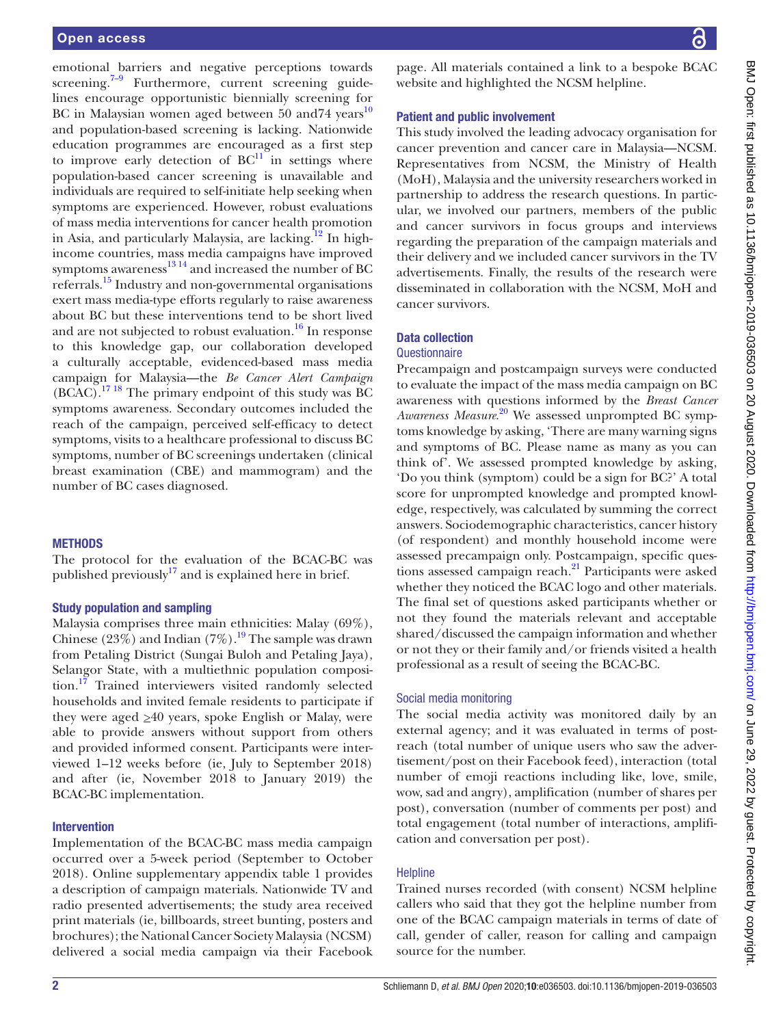emotional barriers and negative perceptions towards screening.<sup>7–9</sup> Furthermore, current screening guidelines encourage opportunistic biennially screening for BC in Malaysian women aged between 50 and 74 years<sup>10</sup> and population-based screening is lacking. Nationwide education programmes are encouraged as a first step to improve early detection of  $BC^{11}$  in settings where population-based cancer screening is unavailable and individuals are required to self-initiate help seeking when symptoms are experienced. However, robust evaluations of mass media interventions for cancer health promotion in Asia, and particularly Malaysia, are lacking.[12](#page-9-9) In highincome countries, mass media campaigns have improved symptoms awareness $^{13}$ <sup>14</sup> and increased the number of BC referrals[.15](#page-10-0) Industry and non-governmental organisations exert mass media-type efforts regularly to raise awareness about BC but these interventions tend to be short lived and are not subjected to robust evaluation.<sup>16</sup> In response to this knowledge gap, our collaboration developed a culturally acceptable, evidenced-based mass media campaign for Malaysia—the *Be Cancer Alert Campaign*  $(BCAC)$ .<sup>17 18</sup> The primary endpoint of this study was BC symptoms awareness. Secondary outcomes included the reach of the campaign, perceived self-efficacy to detect symptoms, visits to a healthcare professional to discuss BC symptoms, number of BC screenings undertaken (clinical breast examination (CBE) and mammogram) and the number of BC cases diagnosed.

#### METHODS

The protocol for the evaluation of the BCAC-BC was published previously<sup>17</sup> and is explained here in brief.

#### Study population and sampling

Malaysia comprises three main ethnicities: Malay (69%), Chinese  $(23\%)$  and Indian  $(7\%)$ .<sup>19</sup> The sample was drawn from Petaling District (Sungai Buloh and Petaling Jaya), Selangor State, with a multiethnic population composition.<sup>17</sup> Trained interviewers visited randomly selected households and invited female residents to participate if they were aged  $\geq 40$  years, spoke English or Malay, were able to provide answers without support from others and provided informed consent. Participants were interviewed 1–12 weeks before (ie, July to September 2018) and after (ie, November 2018 to January 2019) the BCAC-BC implementation.

#### Intervention

Implementation of the BCAC-BC mass media campaign occurred over a 5-week period (September to October 2018). [Online supplementary appendix table 1](https://dx.doi.org/10.1136/bmjopen-2019-036503) provides a description of campaign materials. Nationwide TV and radio presented advertisements; the study area received print materials (ie, billboards, street bunting, posters and brochures); the National Cancer Society Malaysia (NCSM) delivered a social media campaign via their Facebook

page. All materials contained a link to a bespoke BCAC website and highlighted the NCSM helpline.

#### Patient and public involvement

This study involved the leading advocacy organisation for cancer prevention and cancer care in Malaysia—NCSM. Representatives from NCSM, the Ministry of Health (MoH), Malaysia and the university researchers worked in partnership to address the research questions. In particular, we involved our partners, members of the public and cancer survivors in focus groups and interviews regarding the preparation of the campaign materials and their delivery and we included cancer survivors in the TV advertisements. Finally, the results of the research were disseminated in collaboration with the NCSM, MoH and cancer survivors.

#### Data collection

#### **Questionnaire**

Precampaign and postcampaign surveys were conducted to evaluate the impact of the mass media campaign on BC awareness with questions informed by the *Breast Cancer Awareness Measure*. [20](#page-10-4) We assessed unprompted BC symptoms knowledge by asking, 'There are many warning signs and symptoms of BC. Please name as many as you can think of'. We assessed prompted knowledge by asking, 'Do you think (symptom) could be a sign for BC?' A total score for unprompted knowledge and prompted knowledge, respectively, was calculated by summing the correct answers. Sociodemographic characteristics, cancer history (of respondent) and monthly household income were assessed precampaign only. Postcampaign, specific questions assessed campaign reach.<sup>21</sup> Participants were asked whether they noticed the BCAC logo and other materials. The final set of questions asked participants whether or not they found the materials relevant and acceptable shared/discussed the campaign information and whether or not they or their family and/or friends visited a health professional as a result of seeing the BCAC-BC.

#### Social media monitoring

The social media activity was monitored daily by an external agency; and it was evaluated in terms of postreach (total number of unique users who saw the advertisement/post on their Facebook feed), interaction (total number of emoji reactions including like, love, smile, wow, sad and angry), amplification (number of shares per post), conversation (number of comments per post) and total engagement (total number of interactions, amplification and conversation per post).

#### **Helpline**

Trained nurses recorded (with consent) NCSM helpline callers who said that they got the helpline number from one of the BCAC campaign materials in terms of date of call, gender of caller, reason for calling and campaign source for the number.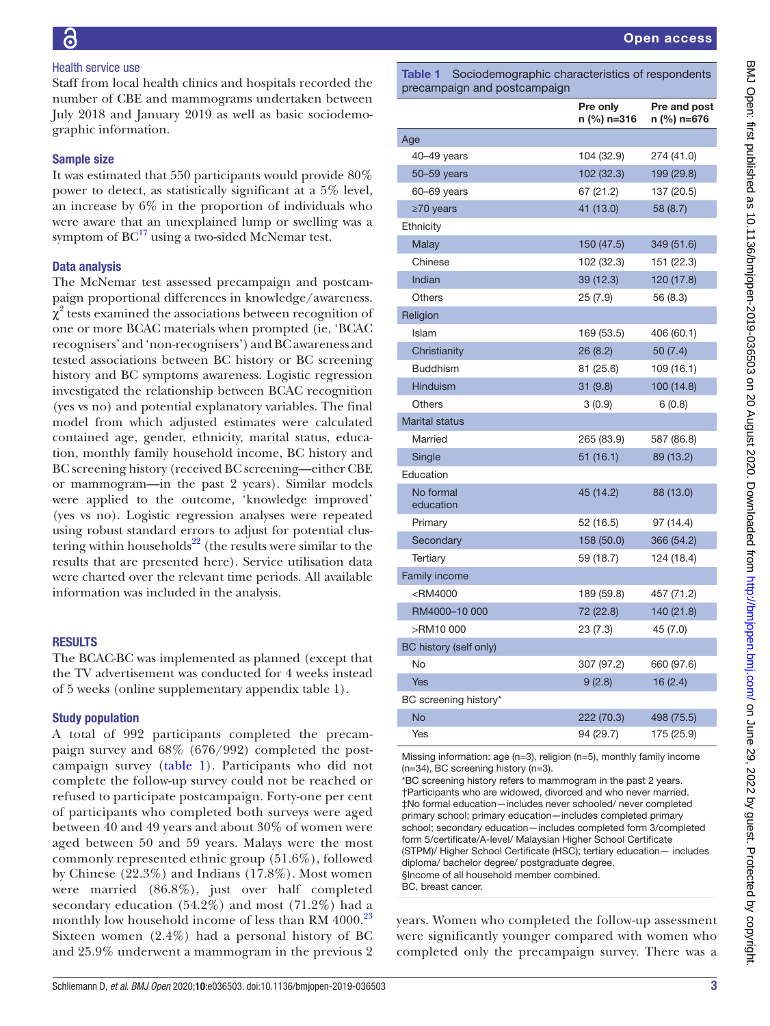#### Health service use

Staff from local health clinics and hospitals recorded the number of CBE and mammograms undertaken between July 2018 and January 2019 as well as basic sociodemographic information.

#### Sample size

It was estimated that 550 participants would provide 80% power to detect, as statistically significant at a 5% level, an increase by 6% in the proportion of individuals who were aware that an unexplained lump or swelling was a symptom of  $BC<sup>17</sup>$  using a two-sided McNemar test.

#### Data analysis

The McNemar test assessed precampaign and postcampaign proportional differences in knowledge/awareness.  $\chi^2$  tests examined the associations between recognition of one or more BCAC materials when prompted (ie, 'BCAC recognisers' and 'non-recognisers') and BC awareness and tested associations between BC history or BC screening history and BC symptoms awareness. Logistic regression investigated the relationship between BCAC recognition (yes vs no) and potential explanatory variables. The final model from which adjusted estimates were calculated contained age, gender, ethnicity, marital status, education, monthly family household income, BC history and BC screening history (received BC screening—either CBE or mammogram—in the past 2 years). Similar models were applied to the outcome, 'knowledge improved' (yes vs no). Logistic regression analyses were repeated using robust standard errors to adjust for potential clustering within households $^{22}$  (the results were similar to the results that are presented here). Service utilisation data were charted over the relevant time periods. All available information was included in the analysis.

#### **RESULTS**

The BCAC-BC was implemented as planned (except that the TV advertisement was conducted for 4 weeks instead of 5 weeks ([online supplementary appendix table 1](https://dx.doi.org/10.1136/bmjopen-2019-036503)).

#### Study population

A total of 992 participants completed the precampaign survey and 68% (676/992) completed the postcampaign survey ([table](#page-2-0) 1). Participants who did not complete the follow-up survey could not be reached or refused to participate postcampaign. Forty-one per cent of participants who completed both surveys were aged between 40 and 49 years and about 30% of women were aged between 50 and 59 years. Malays were the most commonly represented ethnic group (51.6%), followed by Chinese (22.3%) and Indians (17.8%). Most women were married (86.8%), just over half completed secondary education (54.2%) and most (71.2%) had a monthly low household income of less than RM 4000.<sup>[23](#page-10-7)</sup> Sixteen women (2.4%) had a personal history of BC and 25.9% underwent a mammogram in the previous 2

<span id="page-2-0"></span>Table 1 Sociodemographic characteristics of respondents precampaign and postcampaign

|                                                                 | Pre only<br>n (%) n=316 | Pre and post<br>n (%) n=676 |
|-----------------------------------------------------------------|-------------------------|-----------------------------|
| Age                                                             |                         |                             |
| 40-49 years                                                     | 104 (32.9)              | 274 (41.0)                  |
| 50-59 years                                                     | 102 (32.3)              | 199 (29.8)                  |
| 60-69 years                                                     | 67 (21.2)               | 137 (20.5)                  |
| $\geq$ 70 years                                                 | 41 (13.0)               | 58 (8.7)                    |
| Ethnicity                                                       |                         |                             |
| Malay                                                           | 150 (47.5)              | 349 (51.6)                  |
| Chinese                                                         | 102 (32.3)              | 151 (22.3)                  |
| Indian                                                          | 39 (12.3)               | 120 (17.8)                  |
| Others                                                          | 25 (7.9)                | 56 (8.3)                    |
| Religion                                                        |                         |                             |
| Islam                                                           | 169 (53.5)              | 406 (60.1)                  |
| Christianity                                                    | 26 (8.2)                | 50(7.4)                     |
| <b>Buddhism</b>                                                 | 81 (25.6)               | 109 (16.1)                  |
| <b>Hinduism</b>                                                 | 31 (9.8)                | 100 (14.8)                  |
| Others                                                          | 3(0.9)                  | 6(0.8)                      |
| <b>Marital status</b>                                           |                         |                             |
| Married                                                         | 265 (83.9)              | 587 (86.8)                  |
| Single                                                          | 51 (16.1)               | 89 (13.2)                   |
| Education                                                       |                         |                             |
| No formal<br>education                                          | 45 (14.2)               | 88 (13.0)                   |
| Primary                                                         | 52 (16.5)               | 97 (14.4)                   |
| Secondary                                                       | 158 (50.0)              | 366 (54.2)                  |
| Tertiary                                                        | 59 (18.7)               | 124 (18.4)                  |
| <b>Family income</b>                                            |                         |                             |
| <rm4000< td=""><td>189 (59.8)</td><td>457 (71.2)</td></rm4000<> | 189 (59.8)              | 457 (71.2)                  |
| RM4000-10 000                                                   | 72 (22.8)               | 140 (21.8)                  |
| >RM10 000                                                       | 23(7.3)                 | 45 (7.0)                    |
| BC history (self only)                                          |                         |                             |
| No                                                              | 307 (97.2)              | 660 (97.6)                  |
| <b>Yes</b>                                                      | 9(2.8)                  | 16(2.4)                     |
| BC screening history*                                           |                         |                             |
| No                                                              | 222 (70.3)              | 498 (75.5)                  |
| Yes                                                             | 94 (29.7)               | 175 (25.9)                  |

Missing information: age (n=3), religion (n=5), monthly family income (n=34), BC screening history (n=3).

\*BC screening history refers to mammogram in the past 2 years. †Participants who are widowed, divorced and who never married. ‡No formal education—includes never schooled/ never completed primary school; primary education—includes completed primary school; secondary education—includes completed form 3/completed form 5/certificate/A-level/ Malaysian Higher School Certificate (STPM)/ Higher School Certificate (HSC); tertiary education— includes diploma/ bachelor degree/ postgraduate degree. §Income of all household member combined. BC, breast cancer.

years. Women who completed the follow-up assessment were significantly younger compared with women who completed only the precampaign survey. There was a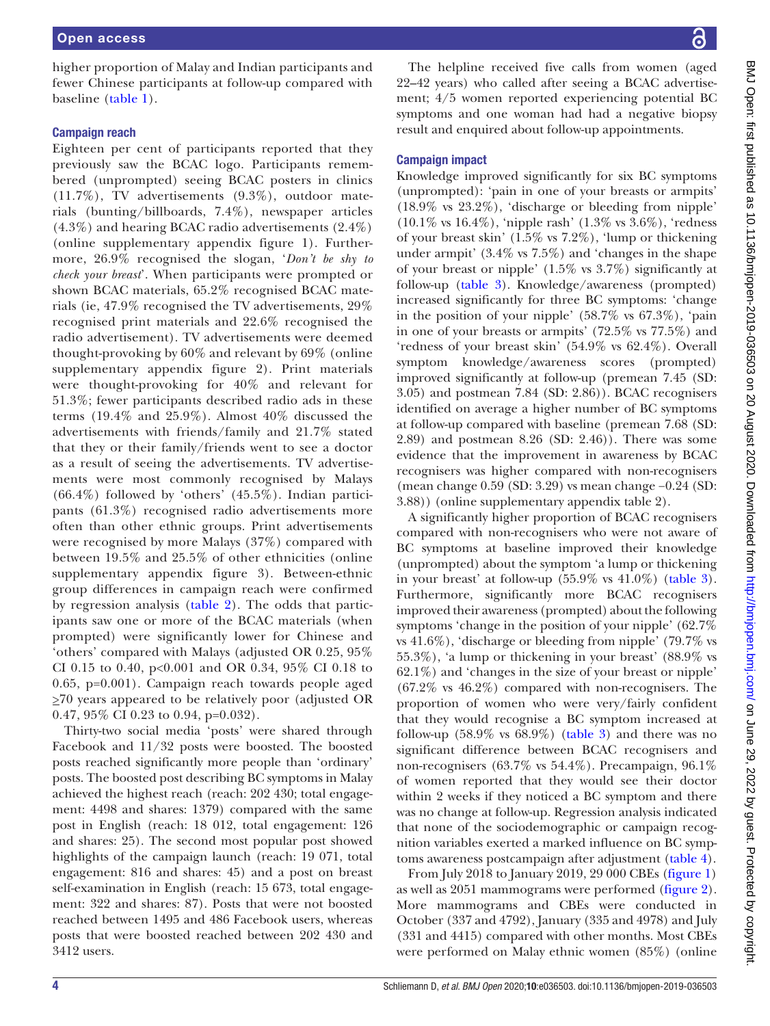higher proportion of Malay and Indian participants and fewer Chinese participants at follow-up compared with baseline ([table](#page-2-0) 1).

#### Campaign reach

Eighteen per cent of participants reported that they previously saw the BCAC logo. Participants remembered (unprompted) seeing BCAC posters in clinics (11.7%), TV advertisements (9.3%), outdoor materials (bunting/billboards, 7.4%), newspaper articles (4.3%) and hearing BCAC radio advertisements (2.4%) ([online supplementary appendix figure 1\)](https://dx.doi.org/10.1136/bmjopen-2019-036503). Furthermore, 26.9% recognised the slogan, '*Don't be shy to check your breast*'. When participants were prompted or shown BCAC materials, 65.2% recognised BCAC materials (ie, 47.9% recognised the TV advertisements, 29% recognised print materials and 22.6% recognised the radio advertisement). TV advertisements were deemed thought-provoking by 60% and relevant by 69% [\(online](https://dx.doi.org/10.1136/bmjopen-2019-036503) [supplementary appendix figure 2](https://dx.doi.org/10.1136/bmjopen-2019-036503)). Print materials were thought-provoking for 40% and relevant for 51.3%; fewer participants described radio ads in these terms (19.4% and 25.9%). Almost 40% discussed the advertisements with friends/family and 21.7% stated that they or their family/friends went to see a doctor as a result of seeing the advertisements. TV advertisements were most commonly recognised by Malays  $(66.4\%)$  followed by 'others'  $(45.5\%)$ . Indian participants (61.3%) recognised radio advertisements more often than other ethnic groups. Print advertisements were recognised by more Malays (37%) compared with between 19.5% and 25.5% of other ethnicities [\(online](https://dx.doi.org/10.1136/bmjopen-2019-036503) [supplementary appendix figure 3\)](https://dx.doi.org/10.1136/bmjopen-2019-036503). Between-ethnic group differences in campaign reach were confirmed by regression analysis [\(table](#page-4-0) 2). The odds that participants saw one or more of the BCAC materials (when prompted) were significantly lower for Chinese and 'others' compared with Malays (adjusted OR 0.25, 95% CI 0.15 to 0.40, p<0.001 and OR 0.34, 95% CI 0.18 to 0.65, p=0.001). Campaign reach towards people aged  $\geq$ 70 years appeared to be relatively poor (adjusted OR 0.47, 95% CI 0.23 to 0.94, p=0.032).

Thirty-two social media 'posts' were shared through Facebook and 11/32 posts were boosted. The boosted posts reached significantly more people than 'ordinary' posts. The boosted post describing BC symptoms in Malay achieved the highest reach (reach: 202 430; total engagement: 4498 and shares: 1379) compared with the same post in English (reach: 18 012, total engagement: 126 and shares: 25). The second most popular post showed highlights of the campaign launch (reach: 19 071, total engagement: 816 and shares: 45) and a post on breast self-examination in English (reach: 15 673, total engagement: 322 and shares: 87). Posts that were not boosted reached between 1495 and 486 Facebook users, whereas posts that were boosted reached between 202 430 and 3412 users.

The helpline received five calls from women (aged 22–42 years) who called after seeing a BCAC advertisement; 4/5 women reported experiencing potential BC symptoms and one woman had had a negative biopsy result and enquired about follow-up appointments.

#### Campaign impact

Knowledge improved significantly for six BC symptoms (unprompted): 'pain in one of your breasts or armpits' (18.9% vs 23.2%), 'discharge or bleeding from nipple' (10.1% vs 16.4%), 'nipple rash' (1.3% vs 3.6%), 'redness of your breast skin' (1.5% vs 7.2%), 'lump or thickening under armpit' (3.4% vs 7.5%) and 'changes in the shape of your breast or nipple' (1.5% vs 3.7%) significantly at follow-up ([table](#page-5-0) 3). Knowledge/awareness (prompted) increased significantly for three BC symptoms: 'change in the position of your nipple' (58.7% vs 67.3%), 'pain in one of your breasts or armpits' (72.5% vs 77.5%) and 'redness of your breast skin' (54.9% vs 62.4%). Overall symptom knowledge/awareness scores (prompted) improved significantly at follow-up (premean 7.45 (SD: 3.05) and postmean 7.84 (SD: 2.86)). BCAC recognisers identified on average a higher number of BC symptoms at follow-up compared with baseline (premean 7.68 (SD: 2.89) and postmean 8.26 (SD: 2.46)). There was some evidence that the improvement in awareness by BCAC recognisers was higher compared with non-recognisers (mean change 0.59 (SD: 3.29) vs mean change −0.24 (SD: 3.88)) ([online supplementary appendix table 2](https://dx.doi.org/10.1136/bmjopen-2019-036503)).

A significantly higher proportion of BCAC recognisers compared with non-recognisers who were not aware of BC symptoms at baseline improved their knowledge (unprompted) about the symptom 'a lump or thickening in your breast' at follow-up  $(55.9\% \text{ vs } 41.0\%)$  ([table](#page-5-0) 3). Furthermore, significantly more BCAC recognisers improved their awareness (prompted) about the following symptoms 'change in the position of your nipple' (62.7% vs 41.6%), 'discharge or bleeding from nipple' (79.7% vs 55.3%), 'a lump or thickening in your breast' (88.9% vs 62.1%) and 'changes in the size of your breast or nipple' (67.2% vs 46.2%) compared with non-recognisers. The proportion of women who were very/fairly confident that they would recognise a BC symptom increased at follow-up  $(58.9\% \text{ vs } 68.9\%)$  [\(table](#page-5-0) 3) and there was no significant difference between BCAC recognisers and non-recognisers (63.7% vs 54.4%). Precampaign, 96.1% of women reported that they would see their doctor within 2 weeks if they noticed a BC symptom and there was no change at follow-up. Regression analysis indicated that none of the sociodemographic or campaign recognition variables exerted a marked influence on BC symptoms awareness postcampaign after adjustment [\(table](#page-7-0) 4).

From July 2018 to January 2019, 29 000 CBEs ([figure](#page-8-0) 1) as well as 2051 mammograms were performed [\(figure](#page-8-1) 2). More mammograms and CBEs were conducted in October (337 and 4792), January (335 and 4978) and July (331 and 4415) compared with other months. Most CBEs were performed on Malay ethnic women (85%) ([online](https://dx.doi.org/10.1136/bmjopen-2019-036503)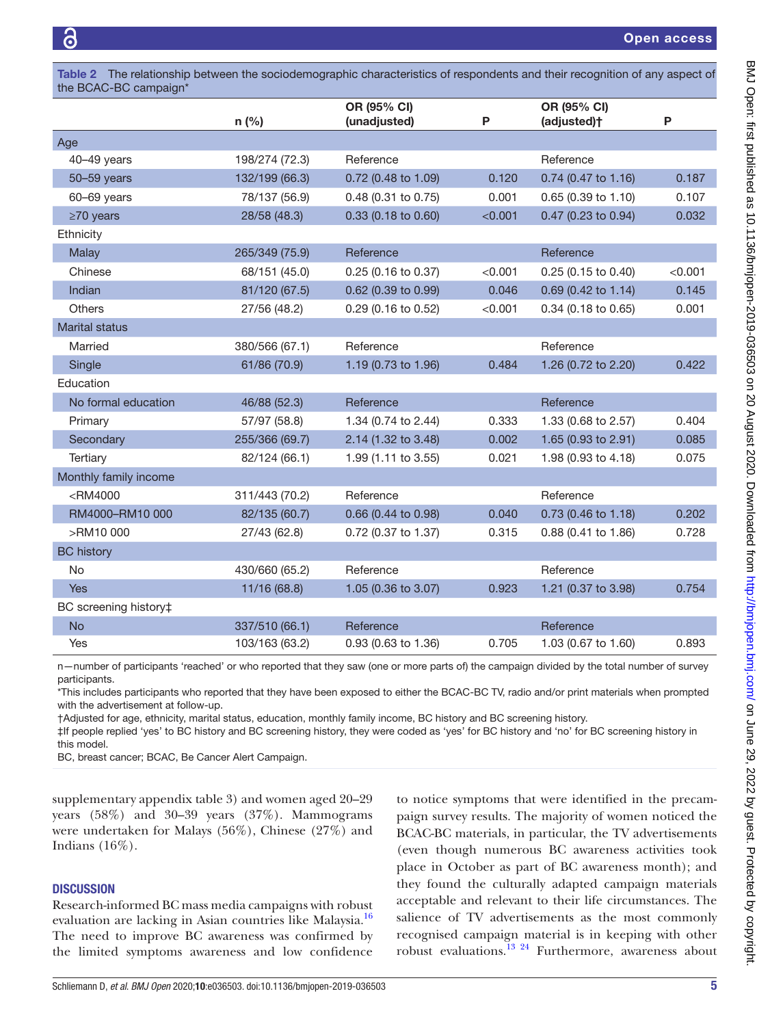<span id="page-4-0"></span>

| Table 2 The relationship between the sociodemographic characteristics of respondents and their recognition of any aspect of |  |
|-----------------------------------------------------------------------------------------------------------------------------|--|
| the BCAC-BC campaign*                                                                                                       |  |

|                       | $n$ (%)        | OR (95% CI)<br>(unadjusted) | P       | OR (95% CI)<br>(adjusted)+ | P       |
|-----------------------|----------------|-----------------------------|---------|----------------------------|---------|
| Age                   |                |                             |         |                            |         |
| $40 - 49$ years       | 198/274 (72.3) | Reference                   |         | Reference                  |         |
| 50-59 years           | 132/199 (66.3) | 0.72 (0.48 to 1.09)         | 0.120   | $0.74$ (0.47 to 1.16)      | 0.187   |
| 60-69 years           | 78/137 (56.9)  | 0.48 (0.31 to 0.75)         | 0.001   | 0.65 (0.39 to 1.10)        | 0.107   |
| $\geq$ 70 years       | 28/58 (48.3)   | 0.33 (0.18 to 0.60)         | < 0.001 | 0.47 (0.23 to 0.94)        | 0.032   |
| Ethnicity             |                |                             |         |                            |         |
| Malay                 | 265/349 (75.9) | Reference                   |         | Reference                  |         |
| Chinese               | 68/151 (45.0)  | 0.25 (0.16 to 0.37)         | < 0.001 | 0.25 (0.15 to 0.40)        | < 0.001 |
| Indian                | 81/120 (67.5)  | 0.62 (0.39 to 0.99)         | 0.046   | 0.69 (0.42 to 1.14)        | 0.145   |
| <b>Others</b>         | 27/56 (48.2)   | 0.29 (0.16 to 0.52)         | < 0.001 | 0.34 (0.18 to 0.65)        | 0.001   |
| <b>Marital status</b> |                |                             |         |                            |         |
| Married               | 380/566 (67.1) | Reference                   |         | Reference                  |         |
| Single                | 61/86 (70.9)   | 1.19 (0.73 to 1.96)         | 0.484   | 1.26 (0.72 to 2.20)        | 0.422   |
| Education             |                |                             |         |                            |         |
| No formal education   | 46/88 (52.3)   | Reference                   |         | Reference                  |         |
| Primary               | 57/97 (58.8)   | 1.34 (0.74 to 2.44)         | 0.333   | 1.33 (0.68 to 2.57)        | 0.404   |
| Secondary             | 255/366 (69.7) | 2.14 (1.32 to 3.48)         | 0.002   | 1.65 (0.93 to 2.91)        | 0.085   |
| Tertiary              | 82/124 (66.1)  | 1.99 (1.11 to 3.55)         | 0.021   | 1.98 (0.93 to 4.18)        | 0.075   |
| Monthly family income |                |                             |         |                            |         |
| $<$ RM4000            | 311/443 (70.2) | Reference                   |         | Reference                  |         |
| RM4000-RM10 000       | 82/135 (60.7)  | 0.66 (0.44 to 0.98)         | 0.040   | 0.73 (0.46 to 1.18)        | 0.202   |
| >RM10 000             | 27/43 (62.8)   | 0.72 (0.37 to 1.37)         | 0.315   | 0.88 (0.41 to 1.86)        | 0.728   |
| <b>BC history</b>     |                |                             |         |                            |         |
| No                    | 430/660 (65.2) | Reference                   |         | Reference                  |         |
| <b>Yes</b>            | 11/16 (68.8)   | 1.05 (0.36 to 3.07)         | 0.923   | 1.21 (0.37 to 3.98)        | 0.754   |
| BC screening history‡ |                |                             |         |                            |         |
| <b>No</b>             | 337/510 (66.1) | Reference                   |         | Reference                  |         |
| Yes                   | 103/163 (63.2) | 0.93 (0.63 to 1.36)         | 0.705   | 1.03 (0.67 to 1.60)        | 0.893   |

n—number of participants 'reached' or who reported that they saw (one or more parts of) the campaign divided by the total number of survey participants.

\*This includes participants who reported that they have been exposed to either the BCAC-BC TV, radio and/or print materials when prompted with the advertisement at follow-up.

†Adjusted for age, ethnicity, marital status, education, monthly family income, BC history and BC screening history.

‡If people replied 'yes' to BC history and BC screening history, they were coded as 'yes' for BC history and 'no' for BC screening history in this model.

BC, breast cancer; BCAC, Be Cancer Alert Campaign.

[supplementary appendix table 3\)](https://dx.doi.org/10.1136/bmjopen-2019-036503) and women aged 20–29 years (58%) and 30–39 years (37%). Mammograms were undertaken for Malays (56%), Chinese (27%) and Indians (16%).

#### **DISCUSSION**

Research-informed BC mass media campaigns with robust evaluation are lacking in Asian countries like Malaysia.<sup>16</sup> The need to improve BC awareness was confirmed by the limited symptoms awareness and low confidence

to notice symptoms that were identified in the precampaign survey results. The majority of women noticed the BCAC-BC materials, in particular, the TV advertisements (even though numerous BC awareness activities took place in October as part of BC awareness month); and they found the culturally adapted campaign materials acceptable and relevant to their life circumstances. The salience of TV advertisements as the most commonly recognised campaign material is in keeping with other robust evaluations.[13 24](#page-9-10) Furthermore, awareness about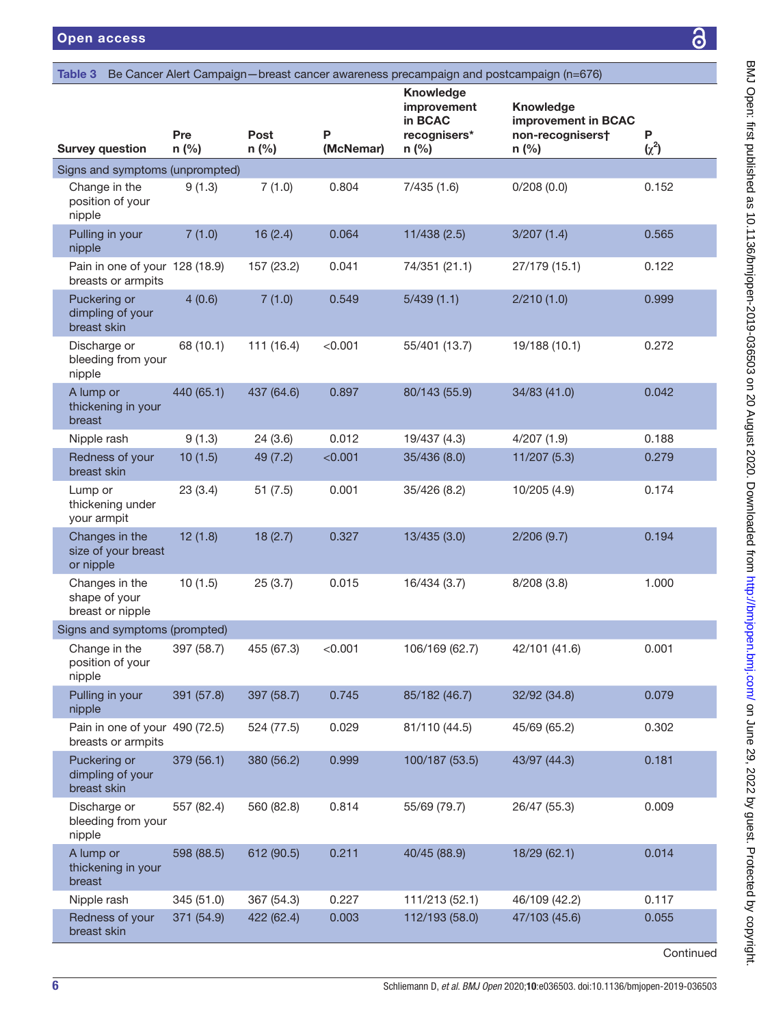<span id="page-5-0"></span>

| Table 3                                              |                |               |                |                                                                | Be Cancer Alert Campaign-breast cancer awareness precampaign and postcampaign (n=676) |                 |
|------------------------------------------------------|----------------|---------------|----------------|----------------------------------------------------------------|---------------------------------------------------------------------------------------|-----------------|
| <b>Survey question</b>                               | Pre<br>$n$ (%) | Post<br>n (%) | P<br>(McNemar) | Knowledge<br>improvement<br>in BCAC<br>recognisers*<br>$n$ (%) | Knowledge<br>improvement in BCAC<br>non-recognisers†<br>n (%)                         | P<br>$(\chi^2)$ |
| Signs and symptoms (unprompted)                      |                |               |                |                                                                |                                                                                       |                 |
| Change in the<br>position of your<br>nipple          | 9(1.3)         | 7(1.0)        | 0.804          | 7/435(1.6)                                                     | 0/208(0.0)                                                                            | 0.152           |
| Pulling in your<br>nipple                            | 7(1.0)         | 16(2.4)       | 0.064          | 11/438(2.5)                                                    | 3/207(1.4)                                                                            | 0.565           |
| Pain in one of your 128 (18.9)<br>breasts or armpits |                | 157 (23.2)    | 0.041          | 74/351 (21.1)                                                  | 27/179 (15.1)                                                                         | 0.122           |
| Puckering or<br>dimpling of your<br>breast skin      | 4(0.6)         | 7(1.0)        | 0.549          | 5/439(1.1)                                                     | 2/210(1.0)                                                                            | 0.999           |
| Discharge or<br>bleeding from your<br>nipple         | 68 (10.1)      | 111 (16.4)    | < 0.001        | 55/401 (13.7)                                                  | 19/188 (10.1)                                                                         | 0.272           |
| A lump or<br>thickening in your<br>breast            | 440 (65.1)     | 437 (64.6)    | 0.897          | 80/143 (55.9)                                                  | 34/83 (41.0)                                                                          | 0.042           |
| Nipple rash                                          | 9(1.3)         | 24(3.6)       | 0.012          | 19/437 (4.3)                                                   | 4/207(1.9)                                                                            | 0.188           |
| Redness of your<br>breast skin                       | 10(1.5)        | 49 (7.2)      | < 0.001        | 35/436 (8.0)                                                   | 11/207(5.3)                                                                           | 0.279           |
| Lump or<br>thickening under<br>your armpit           | 23(3.4)        | 51(7.5)       | 0.001          | 35/426 (8.2)                                                   | 10/205 (4.9)                                                                          | 0.174           |
| Changes in the<br>size of your breast<br>or nipple   | 12(1.8)        | 18(2.7)       | 0.327          | 13/435 (3.0)                                                   | 2/206(9.7)                                                                            | 0.194           |
| Changes in the<br>shape of your<br>breast or nipple  | 10(1.5)        | 25(3.7)       | 0.015          | 16/434 (3.7)                                                   | 8/208(3.8)                                                                            | 1.000           |
| Signs and symptoms (prompted)                        |                |               |                |                                                                |                                                                                       |                 |
| Change in the<br>position of your<br>nipple          | 397 (58.7)     | 455 (67.3)    | < 0.001        | 106/169 (62.7)                                                 | 42/101 (41.6)                                                                         | 0.001           |
| Pulling in your<br>nipple                            | 391 (57.8)     | 397 (58.7)    | 0.745          | 85/182 (46.7)                                                  | 32/92 (34.8)                                                                          | 0.079           |
| Pain in one of your 490 (72.5)<br>breasts or armpits |                | 524 (77.5)    | 0.029          | 81/110 (44.5)                                                  | 45/69 (65.2)                                                                          | 0.302           |
| Puckering or<br>dimpling of your<br>breast skin      | 379 (56.1)     | 380 (56.2)    | 0.999          | 100/187 (53.5)                                                 | 43/97 (44.3)                                                                          | 0.181           |
| Discharge or<br>bleeding from your<br>nipple         | 557 (82.4)     | 560 (82.8)    | 0.814          | 55/69 (79.7)                                                   | 26/47 (55.3)                                                                          | 0.009           |
| A lump or<br>thickening in your<br>breast            | 598 (88.5)     | 612 (90.5)    | 0.211          | 40/45 (88.9)                                                   | 18/29 (62.1)                                                                          | 0.014           |
| Nipple rash                                          | 345 (51.0)     | 367 (54.3)    | 0.227          | 111/213 (52.1)                                                 | 46/109 (42.2)                                                                         | 0.117           |
| Redness of your<br>breast skin                       | 371 (54.9)     | 422 (62.4)    | 0.003          | 112/193 (58.0)                                                 | 47/103 (45.6)                                                                         | 0.055           |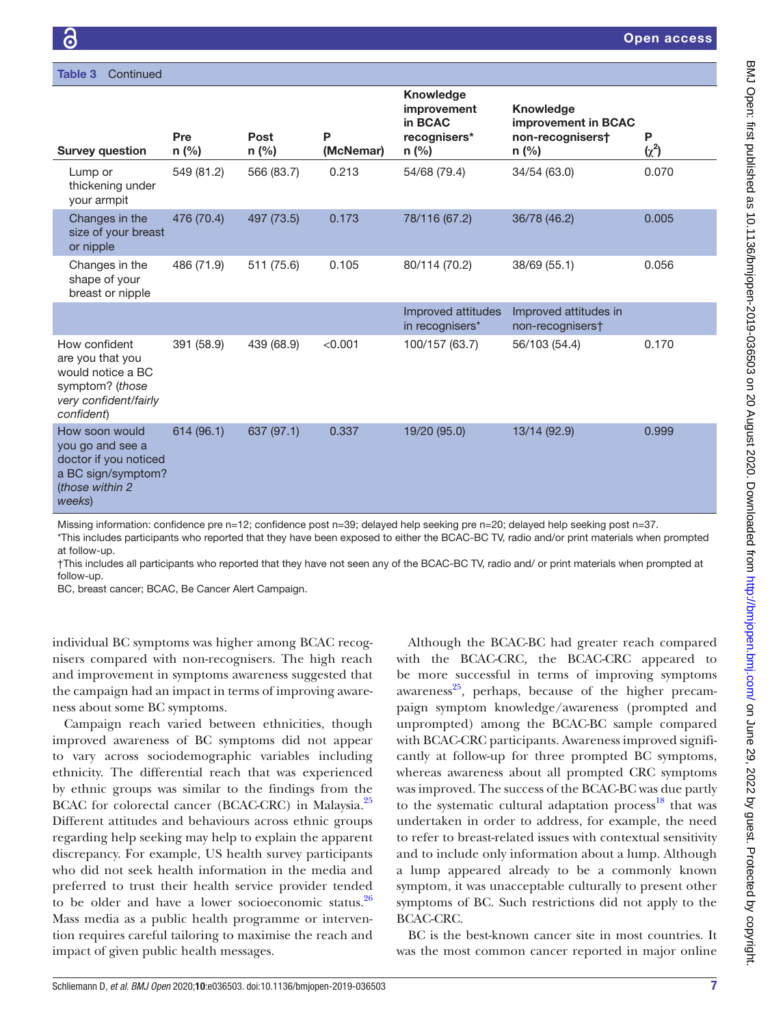Table 3 Continued

|                                                                                                                  | Pre        | Post       | P         | <b>Knowledge</b><br>improvement<br>in BCAC<br>recognisers* | <b>Knowledge</b><br>improvement in BCAC<br>non-recogniserst | P          |
|------------------------------------------------------------------------------------------------------------------|------------|------------|-----------|------------------------------------------------------------|-------------------------------------------------------------|------------|
| <b>Survey question</b>                                                                                           | $n$ (%)    | n (%)      | (McNemar) | n (%)                                                      | n (%)                                                       | $(\chi^2)$ |
| Lump or<br>thickening under<br>your armpit                                                                       | 549 (81.2) | 566 (83.7) | 0.213     | 54/68 (79.4)                                               | 34/54 (63.0)                                                | 0.070      |
| Changes in the<br>size of your breast<br>or nipple                                                               | 476 (70.4) | 497 (73.5) | 0.173     | 78/116 (67.2)                                              | 36/78 (46.2)                                                | 0.005      |
| Changes in the<br>shape of your<br>breast or nipple                                                              | 486 (71.9) | 511 (75.6) | 0.105     | 80/114 (70.2)                                              | 38/69 (55.1)                                                | 0.056      |
|                                                                                                                  |            |            |           | Improved attitudes<br>in recognisers*                      | Improved attitudes in<br>non-recognisers†                   |            |
| How confident<br>are you that you<br>would notice a BC<br>symptom? (those<br>very confident/fairly<br>confident) | 391 (58.9) | 439 (68.9) | < 0.001   | 100/157 (63.7)                                             | 56/103 (54.4)                                               | 0.170      |
| How soon would<br>you go and see a<br>doctor if you noticed<br>a BC sign/symptom?<br>(those within 2<br>weeks)   | 614 (96.1) | 637 (97.1) | 0.337     | 19/20 (95.0)                                               | 13/14 (92.9)                                                | 0.999      |

Missing information: confidence pre n=12; confidence post n=39; delayed help seeking pre n=20; delayed help seeking post n=37.

\*This includes participants who reported that they have been exposed to either the BCAC-BC TV, radio and/or print materials when prompted at follow-up.

†This includes all participants who reported that they have not seen any of the BCAC-BC TV, radio and/ or print materials when prompted at follow-up.

BC, breast cancer; BCAC, Be Cancer Alert Campaign.

individual BC symptoms was higher among BCAC recognisers compared with non-recognisers. The high reach and improvement in symptoms awareness suggested that the campaign had an impact in terms of improving awareness about some BC symptoms.

Campaign reach varied between ethnicities, though improved awareness of BC symptoms did not appear to vary across sociodemographic variables including ethnicity. The differential reach that was experienced by ethnic groups was similar to the findings from the BCAC for colorectal cancer (BCAC-CRC) in Malaysia.<sup>[25](#page-10-8)</sup> Different attitudes and behaviours across ethnic groups regarding help seeking may help to explain the apparent discrepancy. For example, US health survey participants who did not seek health information in the media and preferred to trust their health service provider tended to be older and have a lower socioeconomic status.<sup>[26](#page-10-9)</sup> Mass media as a public health programme or intervention requires careful tailoring to maximise the reach and impact of given public health messages.

Although the BCAC-BC had greater reach compared with the BCAC-CRC*,* the BCAC-CRC appeared to be more successful in terms of improving symptoms awareness<sup>25</sup>, perhaps, because of the higher precampaign symptom knowledge/awareness (prompted and unprompted) among the BCAC-BC sample compared with BCAC-CRC participants. Awareness improved significantly at follow-up for three prompted BC symptoms, whereas awareness about all prompted CRC symptoms was improved. The success of the BCAC-BC was due partly to the systematic cultural adaptation process $^{18}$  that was undertaken in order to address, for example, the need to refer to breast-related issues with contextual sensitivity and to include only information about a lump. Although a lump appeared already to be a commonly known symptom, it was unacceptable culturally to present other symptoms of BC. Such restrictions did not apply to the BCAC-CRC.

BC is the best-known cancer site in most countries. It was the most common cancer reported in major online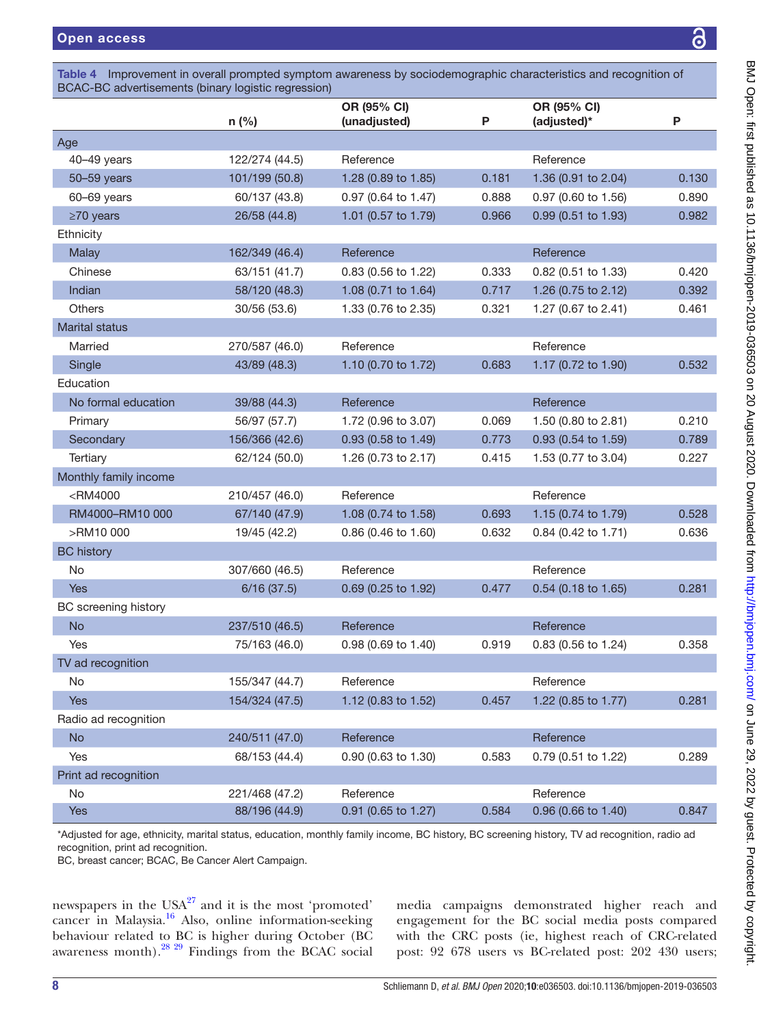<span id="page-7-0"></span>

|                                                                                                        | $n$ (%)        | OR (95% CI)<br>(unadjusted) | P     | OR (95% CI)<br>(adjusted)* | P     |
|--------------------------------------------------------------------------------------------------------|----------------|-----------------------------|-------|----------------------------|-------|
| Age                                                                                                    |                |                             |       |                            |       |
| 40-49 years                                                                                            | 122/274 (44.5) | Reference                   |       | Reference                  |       |
| 50-59 years                                                                                            | 101/199 (50.8) | 1.28 (0.89 to 1.85)         | 0.181 | 1.36 (0.91 to 2.04)        | 0.130 |
| 60-69 years                                                                                            | 60/137 (43.8)  | 0.97 (0.64 to 1.47)         | 0.888 | 0.97 (0.60 to 1.56)        | 0.890 |
| $\geq$ 70 years                                                                                        | 26/58 (44.8)   | 1.01 (0.57 to 1.79)         | 0.966 | 0.99 (0.51 to 1.93)        | 0.982 |
| Ethnicity                                                                                              |                |                             |       |                            |       |
| Malay                                                                                                  | 162/349 (46.4) | Reference                   |       | Reference                  |       |
| Chinese                                                                                                | 63/151 (41.7)  | 0.83 (0.56 to 1.22)         | 0.333 | 0.82 (0.51 to 1.33)        | 0.420 |
| Indian                                                                                                 | 58/120 (48.3)  | 1.08 (0.71 to 1.64)         | 0.717 | 1.26 (0.75 to 2.12)        | 0.392 |
| <b>Others</b>                                                                                          | 30/56 (53.6)   | 1.33 (0.76 to 2.35)         | 0.321 | 1.27 (0.67 to 2.41)        | 0.461 |
| <b>Marital status</b>                                                                                  |                |                             |       |                            |       |
| Married                                                                                                | 270/587 (46.0) | Reference                   |       | Reference                  |       |
| Single                                                                                                 | 43/89 (48.3)   | 1.10 (0.70 to 1.72)         | 0.683 | 1.17 (0.72 to 1.90)        | 0.532 |
| Education                                                                                              |                |                             |       |                            |       |
| No formal education                                                                                    | 39/88 (44.3)   | Reference                   |       | Reference                  |       |
| Primary                                                                                                | 56/97 (57.7)   | 1.72 (0.96 to 3.07)         | 0.069 | 1.50 (0.80 to 2.81)        | 0.210 |
| Secondary                                                                                              | 156/366 (42.6) | 0.93 (0.58 to 1.49)         | 0.773 | 0.93 (0.54 to 1.59)        | 0.789 |
| Tertiary                                                                                               | 62/124 (50.0)  | 1.26 (0.73 to 2.17)         | 0.415 | 1.53 (0.77 to 3.04)        | 0.227 |
| Monthly family income                                                                                  |                |                             |       |                            |       |
| <rm4000< td=""><td>210/457 (46.0)</td><td>Reference</td><td></td><td>Reference</td><td></td></rm4000<> | 210/457 (46.0) | Reference                   |       | Reference                  |       |
| RM4000-RM10 000                                                                                        | 67/140 (47.9)  | 1.08 (0.74 to 1.58)         | 0.693 | 1.15 (0.74 to 1.79)        | 0.528 |
| >RM10 000                                                                                              | 19/45 (42.2)   | 0.86 (0.46 to 1.60)         | 0.632 | 0.84 (0.42 to 1.71)        | 0.636 |
| <b>BC</b> history                                                                                      |                |                             |       |                            |       |
| <b>No</b>                                                                                              | 307/660 (46.5) | Reference                   |       | Reference                  |       |
| <b>Yes</b>                                                                                             | 6/16(37.5)     | 0.69 (0.25 to 1.92)         | 0.477 | $0.54$ (0.18 to 1.65)      | 0.281 |
| BC screening history                                                                                   |                |                             |       |                            |       |
| <b>No</b>                                                                                              | 237/510 (46.5) | Reference                   |       | Reference                  |       |
| Yes                                                                                                    | 75/163 (46.0)  | 0.98 (0.69 to 1.40)         | 0.919 | 0.83 (0.56 to 1.24)        | 0.358 |
| TV ad recognition                                                                                      |                |                             |       |                            |       |
| No                                                                                                     | 155/347 (44.7) | Reference                   |       | Reference                  |       |
| <b>Yes</b>                                                                                             | 154/324 (47.5) | 1.12 (0.83 to 1.52)         | 0.457 | 1.22 (0.85 to 1.77)        | 0.281 |
| Radio ad recognition                                                                                   |                |                             |       |                            |       |
| <b>No</b>                                                                                              | 240/511 (47.0) | Reference                   |       | Reference                  |       |
| Yes                                                                                                    | 68/153 (44.4)  | 0.90 (0.63 to 1.30)         | 0.583 | 0.79 (0.51 to 1.22)        | 0.289 |
| Print ad recognition                                                                                   |                |                             |       |                            |       |
| No                                                                                                     | 221/468 (47.2) | Reference                   |       | Reference                  |       |
| <b>Yes</b>                                                                                             | 88/196 (44.9)  | 0.91 (0.65 to 1.27)         | 0.584 | 0.96 (0.66 to 1.40)        | 0.847 |

\*Adjusted for age, ethnicity, marital status, education, monthly family income, BC history, BC screening history, TV ad recognition, radio ad recognition, print ad recognition.

BC, breast cancer; BCAC, Be Cancer Alert Campaign.

newspapers in the  $USA^{27}$  and it is the most 'promoted' cancer in Malaysia.<sup>[16](#page-10-1)</sup> Also, online information-seeking behaviour related to BC is higher during October (BC awareness month).<sup>28</sup> <sup>29</sup> Findings from the BCAC social media campaigns demonstrated higher reach and engagement for the BC social media posts compared with the CRC posts (ie, highest reach of CRC-related post: 92 678 users vs BC-related post: 202 430 users;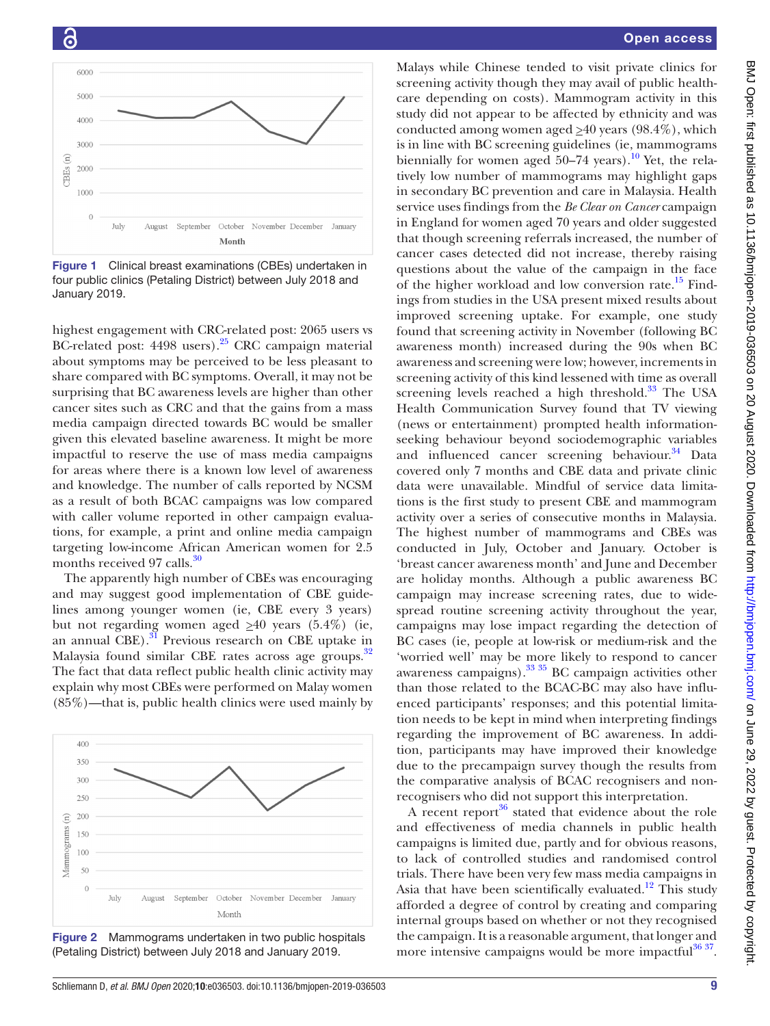

<span id="page-8-0"></span>Figure 1 Clinical breast examinations (CBEs) undertaken in four public clinics (Petaling District) between July 2018 and January 2019.

highest engagement with CRC-related post: 2065 users vs BC-related post: 4498 users).<sup>25</sup> CRC campaign material about symptoms may be perceived to be less pleasant to share compared with BC symptoms. Overall, it may not be surprising that BC awareness levels are higher than other cancer sites such as CRC and that the gains from a mass media campaign directed towards BC would be smaller given this elevated baseline awareness. It might be more impactful to reserve the use of mass media campaigns for areas where there is a known low level of awareness and knowledge. The number of calls reported by NCSM as a result of both BCAC campaigns was low compared with caller volume reported in other campaign evaluations, for example, a print and online media campaign targeting low-income African American women for 2.5 months received 97 calls.<sup>30</sup>

The apparently high number of CBEs was encouraging and may suggest good implementation of CBE guidelines among younger women (ie, CBE every 3 years) but not regarding women aged  $\geq 40$  years (5.4%) (ie, an annual CBE).<sup>31</sup> Previous research on CBE uptake in Malaysia found similar CBE rates across age groups.<sup>32</sup> The fact that data reflect public health clinic activity may explain why most CBEs were performed on Malay women (85%)—that is, public health clinics were used mainly by



<span id="page-8-1"></span>Figure 2 Mammograms undertaken in two public hospitals (Petaling District) between July 2018 and January 2019.

Malays while Chinese tended to visit private clinics for screening activity though they may avail of public healthcare depending on costs). Mammogram activity in this study did not appear to be affected by ethnicity and was conducted among women aged  $\geq 40$  years (98.4%), which is in line with BC screening guidelines (ie, mammograms biennially for women aged  $50-74$  years).<sup>10</sup> Yet, the relatively low number of mammograms may highlight gaps in secondary BC prevention and care in Malaysia. Health service uses findings from the *Be Clear on Cancer* campaign in England for women aged 70 years and older suggested that though screening referrals increased, the number of cancer cases detected did not increase, thereby raising questions about the value of the campaign in the face of the higher workload and low conversion rate.<sup>15</sup> Findings from studies in the USA present mixed results about improved screening uptake. For example, one study found that screening activity in November (following BC awareness month) increased during the 90s when BC awareness and screening were low; however, increments in screening activity of this kind lessened with time as overall screening levels reached a high threshold. $33$  The USA Health Communication Survey found that TV viewing (news or entertainment) prompted health informationseeking behaviour beyond sociodemographic variables and influenced cancer screening behaviour. [34](#page-10-17) Data covered only 7 months and CBE data and private clinic data were unavailable. Mindful of service data limitations is the first study to present CBE and mammogram activity over a series of consecutive months in Malaysia. The highest number of mammograms and CBEs was conducted in July, October and January. October is 'breast cancer awareness month' and June and December are holiday months. Although a public awareness BC campaign may increase screening rates, due to widespread routine screening activity throughout the year, campaigns may lose impact regarding the detection of BC cases (ie, people at low-risk or medium-risk and the 'worried well' may be more likely to respond to cancer awareness campaigns)[.33 35](#page-10-16) BC campaign activities other than those related to the BCAC-BC may also have influenced participants' responses; and this potential limitation needs to be kept in mind when interpreting findings regarding the improvement of BC awareness. In addition, participants may have improved their knowledge due to the precampaign survey though the results from the comparative analysis of BCAC recognisers and nonrecognisers who did not support this interpretation.

A recent report<sup>36</sup> stated that evidence about the role and effectiveness of media channels in public health campaigns is limited due, partly and for obvious reasons, to lack of controlled studies and randomised control trials. There have been very few mass media campaigns in Asia that have been scientifically evaluated.<sup>12</sup> This study afforded a degree of control by creating and comparing internal groups based on whether or not they recognised the campaign. It is a reasonable argument, that longer and more intensive campaigns would be more impactful<sup>36 37</sup>.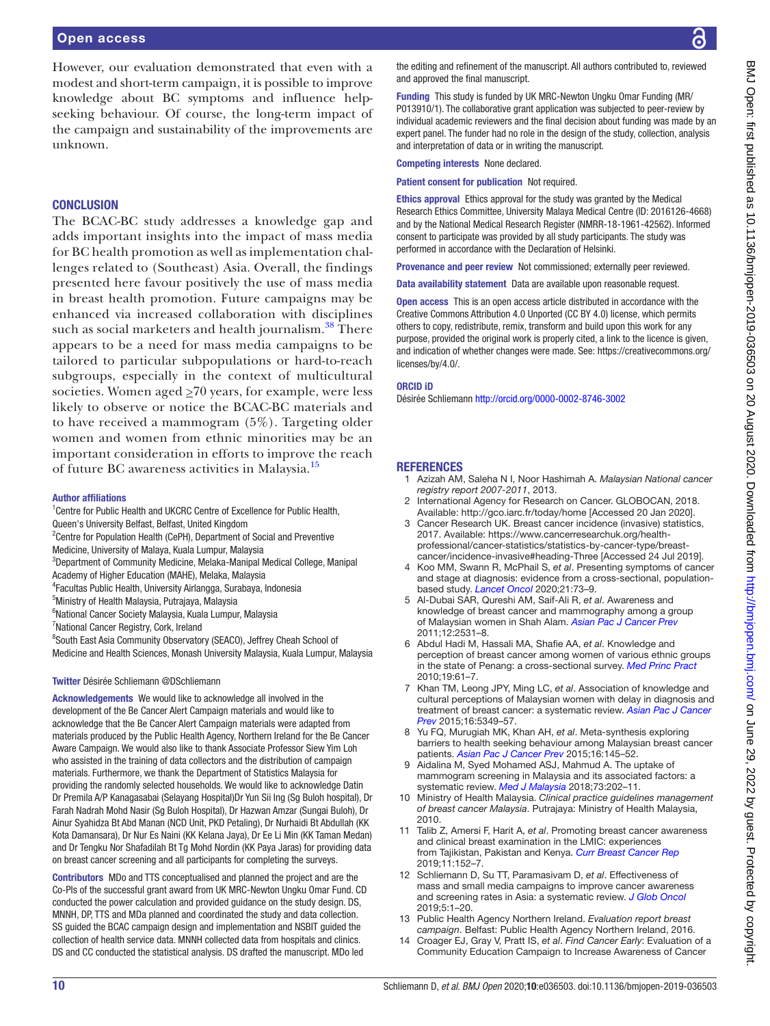However, our evaluation demonstrated that even with a modest and short-term campaign, it is possible to improve knowledge about BC symptoms and influence helpseeking behaviour. Of course, the long-term impact of the campaign and sustainability of the improvements are unknown.

#### **CONCLUSION**

The BCAC-BC study addresses a knowledge gap and adds important insights into the impact of mass media for BC health promotion as well as implementation challenges related to (Southeast) Asia. Overall, the findings presented here favour positively the use of mass media in breast health promotion. Future campaigns may be enhanced via increased collaboration with disciplines such as social marketers and health journalism.<sup>38</sup> There appears to be a need for mass media campaigns to be tailored to particular subpopulations or hard-to-reach subgroups, especially in the context of multicultural societies. Women aged  $\geq$ 70 years, for example, were less likely to observe or notice the BCAC-BC materials and to have received a mammogram (5%). Targeting older women and women from ethnic minorities may be an important consideration in efforts to improve the reach of future BC awareness activities in Malaysia.[15](#page-10-0)

#### Author affiliations

- <sup>1</sup> Centre for Public Health and UKCRC Centre of Excellence for Public Health,
- Queen's University Belfast, Belfast, United Kingdom
- <sup>2</sup> Centre for Population Health (CePH), Department of Social and Preventive
- Medicine, University of Malaya, Kuala Lumpur, Malaysia
- 3 Department of Community Medicine, Melaka-Manipal Medical College, Manipal
- Academy of Higher Education (MAHE), Melaka, Malaysia
- 4 Facultas Public Health, University Airlangga, Surabaya, Indonesia
- 5 Ministry of Health Malaysia, Putrajaya, Malaysia
- 6 National Cancer Society Malaysia, Kuala Lumpur, Malaysia
- <sup>7</sup>National Cancer Registry, Cork, Ireland

<sup>8</sup>South East Asia Community Observatory (SEACO), Jeffrey Cheah School of Medicine and Health Sciences, Monash University Malaysia, Kuala Lumpur, Malaysia

#### Twitter Désirée Schliemann [@DSchliemann](https://twitter.com/DSchliemann)

Acknowledgements We would like to acknowledge all involved in the development of the Be Cancer Alert Campaign materials and would like to acknowledge that the Be Cancer Alert Campaign materials were adapted from materials produced by the Public Health Agency, Northern Ireland for the Be Cancer Aware Campaign. We would also like to thank Associate Professor Siew Yim Loh who assisted in the training of data collectors and the distribution of campaign materials. Furthermore, we thank the Department of Statistics Malaysia for providing the randomly selected households. We would like to acknowledge Datin Dr Premila A/P Kanagasabai (Selayang Hospital)Dr Yun Sii Ing (Sg Buloh hospital), Dr Farah Nadrah Mohd Nasir (Sg Buloh Hospital), Dr Hazwan Amzar (Sungai Buloh), Dr Ainur Syahidza Bt Abd Manan (NCD Unit, PKD Petaling), Dr Nurhaidi Bt Abdullah (KK Kota Damansara), Dr Nur Es Naini (KK Kelana Jaya), Dr Ee Li Min (KK Taman Medan) and Dr Tengku Nor Shafadilah Bt Tg Mohd Nordin (KK Paya Jaras) for providing data on breast cancer screening and all participants for completing the surveys.

Contributors MDo and TTS conceptualised and planned the project and are the Co-PIs of the successful grant award from UK MRC-Newton Ungku Omar Fund. CD conducted the power calculation and provided guidance on the study design. DS, MNNH, DP, TTS and MDa planned and coordinated the study and data collection. SS guided the BCAC campaign design and implementation and NSBIT guided the collection of health service data. MNNH collected data from hospitals and clinics. DS and CC conducted the statistical analysis. DS drafted the manuscript. MDo led

the editing and refinement of the manuscript. All authors contributed to, reviewed and approved the final manuscript.

Funding This study is funded by UK MRC-Newton Ungku Omar Funding (MR/ P013910/1). The collaborative grant application was subjected to peer-review by individual academic reviewers and the final decision about funding was made by an expert panel. The funder had no role in the design of the study, collection, analysis and interpretation of data or in writing the manuscript.

Competing interests None declared.

Patient consent for publication Not required.

Ethics approval Ethics approval for the study was granted by the Medical Research Ethics Committee, University Malaya Medical Centre (ID: 2016126-4668) and by the National Medical Research Register (NMRR-18-1961-42562). Informed consent to participate was provided by all study participants. The study was performed in accordance with the Declaration of Helsinki.

Provenance and peer review Not commissioned; externally peer reviewed.

Data availability statement Data are available upon reasonable request.

Open access This is an open access article distributed in accordance with the Creative Commons Attribution 4.0 Unported (CC BY 4.0) license, which permits others to copy, redistribute, remix, transform and build upon this work for any purpose, provided the original work is properly cited, a link to the licence is given, and indication of whether changes were made. See: [https://creativecommons.org/](https://creativecommons.org/licenses/by/4.0/) [licenses/by/4.0/](https://creativecommons.org/licenses/by/4.0/).

#### ORCID iD

Désirée Schliemann <http://orcid.org/0000-0002-8746-3002>

#### **REFERENCES**

- <span id="page-9-0"></span>1 Azizah AM, Saleha N I, Noor Hashimah A. *Malaysian National cancer registry report 2007-2011*, 2013.
- <span id="page-9-1"></span>2 International Agency for Research on Cancer. GLOBOCAN, 2018. Available: <http://gco.iarc.fr/today/home>[Accessed 20 Jan 2020].
- <span id="page-9-2"></span>3 Cancer Research UK. Breast cancer incidence (invasive) statistics, 2017. Available: [https://www.cancerresearchuk.org/health](https://www.cancerresearchuk.org/health-professional/cancer-statistics/statistics-by-cancer-type/breast-cancer/incidence-invasive#heading-Three)[professional/cancer-statistics/statistics-by-cancer-type/breast](https://www.cancerresearchuk.org/health-professional/cancer-statistics/statistics-by-cancer-type/breast-cancer/incidence-invasive#heading-Three)[cancer/incidence-invasive#heading-Three](https://www.cancerresearchuk.org/health-professional/cancer-statistics/statistics-by-cancer-type/breast-cancer/incidence-invasive#heading-Three) [Accessed 24 Jul 2019].
- <span id="page-9-3"></span>4 Koo MM, Swann R, McPhail S, *et al*. Presenting symptoms of cancer and stage at diagnosis: evidence from a cross-sectional, populationbased study. *[Lancet Oncol](http://dx.doi.org/10.1016/S1470-2045(19)30595-9)* 2020;21:73–9.
- <span id="page-9-4"></span>5 Al-Dubai SAR, Qureshi AM, Saif-Ali R, *et al*. Awareness and knowledge of breast cancer and mammography among a group of Malaysian women in Shah Alam. *[Asian Pac J Cancer Prev](http://www.ncbi.nlm.nih.gov/pubmed/http://www.ncbi.nlm.nih.gov/pubmed/22320951)* 2011;12:2531–8.
- <span id="page-9-5"></span>6 Abdul Hadi M, Hassali MA, Shafie AA, *et al*. Knowledge and perception of breast cancer among women of various ethnic groups in the state of Penang: a cross-sectional survey. *[Med Princ Pract](http://dx.doi.org/10.1159/000252837)* 2010;19:61–7.
- <span id="page-9-6"></span>7 Khan TM, Leong JPY, Ming LC, *et al*. Association of knowledge and cultural perceptions of Malaysian women with delay in diagnosis and treatment of breast cancer: a systematic review. *[Asian Pac J Cancer](http://dx.doi.org/10.7314/APJCP.2015.16.13.5349)  [Prev](http://dx.doi.org/10.7314/APJCP.2015.16.13.5349)* 2015;16:5349–57.
- 8 Yu FQ, Murugiah MK, Khan AH, *et al*. Meta-synthesis exploring barriers to health seeking behaviour among Malaysian breast cancer patients. *[Asian Pac J Cancer Prev](http://dx.doi.org/10.7314/apjcp.2015.16.1.145)* 2015;16:145–52.
- 9 Aidalina M, Syed Mohamed ASJ, Mahmud A. The uptake of mammogram screening in Malaysia and its associated factors: a systematic review. *[Med J Malaysia](http://www.ncbi.nlm.nih.gov/pubmed/http://www.ncbi.nlm.nih.gov/pubmed/30121682)* 2018;73:202–11.
- <span id="page-9-7"></span>10 Ministry of Health Malaysia. *Clinical practice guidelines management of breast cancer Malaysia*. Putrajaya: Ministry of Health Malaysia, 2010.
- <span id="page-9-8"></span>11 Talib Z, Amersi F, Harit A, *et al*. Promoting breast cancer awareness and clinical breast examination in the LMIC: experiences from Tajikistan, Pakistan and Kenya. *[Curr Breast Cancer Rep](http://dx.doi.org/10.1007/s12609-019-00321-7)* 2019;11:152–7.
- <span id="page-9-9"></span>12 Schliemann D, Su TT, Paramasivam D, *et al*. Effectiveness of mass and small media campaigns to improve cancer awareness and screening rates in Asia: a systematic review. *[J Glob Oncol](http://dx.doi.org/10.1200/JGO.19.00011)* 2019;5:1–20.
- <span id="page-9-10"></span>13 Public Health Agency Northern Ireland. *Evaluation report breast campaign*. Belfast: Public Health Agency Northern Ireland, 2016.
- 14 Croager EJ, Gray V, Pratt IS, *et al*. *Find Cancer Early*: Evaluation of a Community Education Campaign to Increase Awareness of Cancer